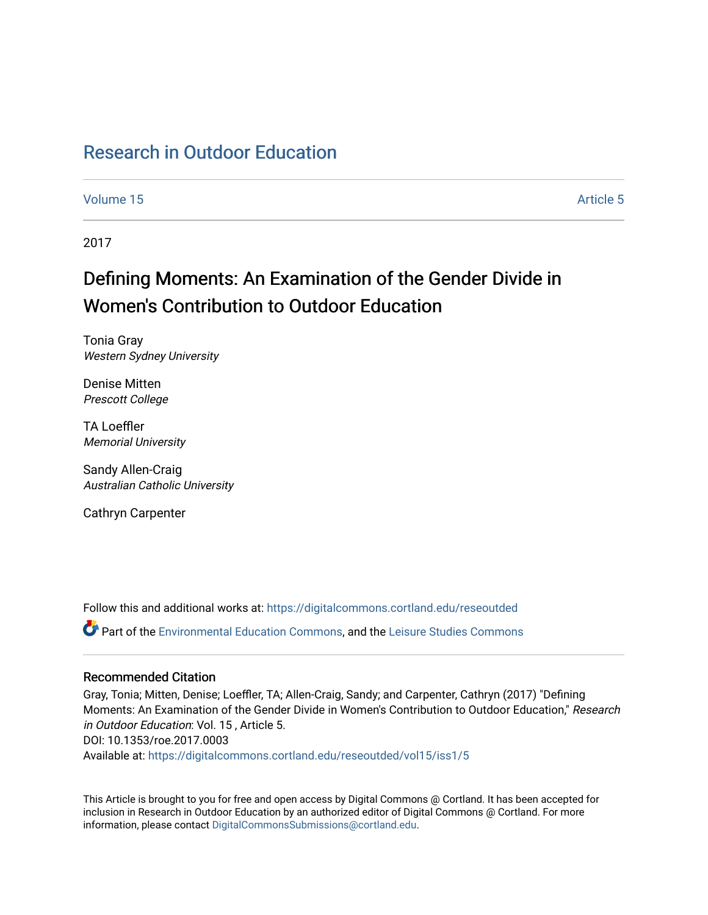## [Research in Outdoor Education](https://digitalcommons.cortland.edu/reseoutded)

[Volume 15](https://digitalcommons.cortland.edu/reseoutded/vol15) Article 5

2017

# Defining Moments: An Examination of the Gender Divide in Women's Contribution to Outdoor Education

Tonia Gray Western Sydney University

Denise Mitten Prescott College

TA Loeffler Memorial University

Sandy Allen-Craig Australian Catholic University

Cathryn Carpenter

Follow this and additional works at: [https://digitalcommons.cortland.edu/reseoutded](https://digitalcommons.cortland.edu/reseoutded?utm_source=digitalcommons.cortland.edu%2Freseoutded%2Fvol15%2Fiss1%2F5&utm_medium=PDF&utm_campaign=PDFCoverPages)

Part of the [Environmental Education Commons](http://network.bepress.com/hgg/discipline/1305?utm_source=digitalcommons.cortland.edu%2Freseoutded%2Fvol15%2Fiss1%2F5&utm_medium=PDF&utm_campaign=PDFCoverPages), and the [Leisure Studies Commons](http://network.bepress.com/hgg/discipline/1197?utm_source=digitalcommons.cortland.edu%2Freseoutded%2Fvol15%2Fiss1%2F5&utm_medium=PDF&utm_campaign=PDFCoverPages) 

#### Recommended Citation

Gray, Tonia; Mitten, Denise; Loeffler, TA; Allen-Craig, Sandy; and Carpenter, Cathryn (2017) "Defining Moments: An Examination of the Gender Divide in Women's Contribution to Outdoor Education," Research in Outdoor Education: Vol. 15 , Article 5. DOI: 10.1353/roe.2017.0003 Available at: [https://digitalcommons.cortland.edu/reseoutded/vol15/iss1/5](https://digitalcommons.cortland.edu/reseoutded/vol15/iss1/5?utm_source=digitalcommons.cortland.edu%2Freseoutded%2Fvol15%2Fiss1%2F5&utm_medium=PDF&utm_campaign=PDFCoverPages) 

This Article is brought to you for free and open access by Digital Commons @ Cortland. It has been accepted for inclusion in Research in Outdoor Education by an authorized editor of Digital Commons @ Cortland. For more information, please contact [DigitalCommonsSubmissions@cortland.edu](mailto:DigitalCommonsSubmissions@cortland.edu).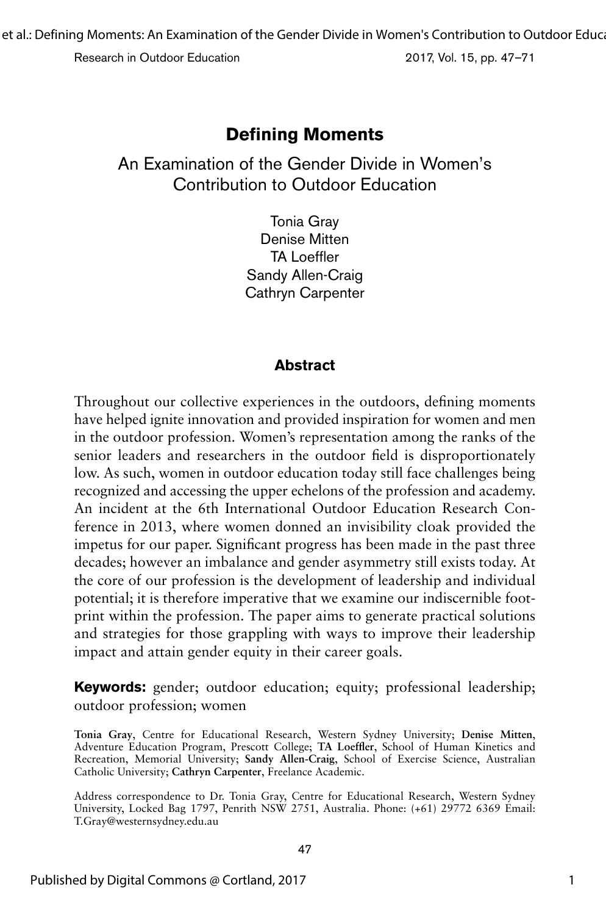Research in Outdoor Education 2017, Vol. 15, pp. 47–71 et al.: Defining Moments: An Examination of the Gender Divide in Women's Contribution to Outdoor Educ

## **Defining Moments**

An Examination of the Gender Divide in Women's Contribution to Outdoor Education

> Tonia Gray Denise Mitten TA Loeffler Sandy Allen-Craig Cathryn Carpenter

## **Abstract**

Throughout our collective experiences in the outdoors, defining moments have helped ignite innovation and provided inspiration for women and men in the outdoor profession. Women's representation among the ranks of the senior leaders and researchers in the outdoor field is disproportionately low. As such, women in outdoor education today still face challenges being recognized and accessing the upper echelons of the profession and academy. An incident at the 6th International Outdoor Education Research Conference in 2013, where women donned an invisibility cloak provided the impetus for our paper. Significant progress has been made in the past three decades; however an imbalance and gender asymmetry still exists today. At the core of our profession is the development of leadership and individual potential; it is therefore imperative that we examine our indiscernible footprint within the profession. The paper aims to generate practical solutions and strategies for those grappling with ways to improve their leadership impact and attain gender equity in their career goals.

**Keywords:** gender; outdoor education; equity; professional leadership; outdoor profession; women

**Tonia Gray**, Centre for Educational Research, Western Sydney University; **Denise Mitten**, Adventure Education Program, Prescott College; **TA Loeffler**, School of Human Kinetics and Recreation, Memorial University; **Sandy Allen-Craig**, School of Exercise Science, Australian Catholic University; **Cathryn Carpenter**, Freelance Academic.

Address correspondence to Dr. Tonia Gray, Centre for Educational Research, Western Sydney University, Locked Bag 1797, Penrith NSW 2751, Australia. Phone: (+61) 29772 6369 Email: T.Gray@westernsydney.edu.au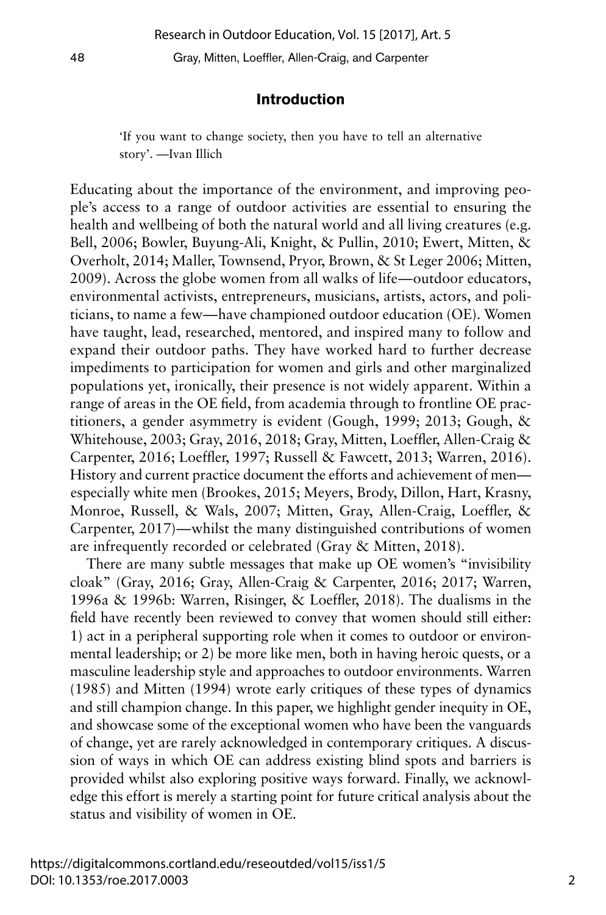48 Gray, Mitten, Loeffler, Allen-Craig, and Carpenter

### **Introduction**

'If you want to change society, then you have to tell an alternative story'. —Ivan Illich

Educating about the importance of the environment, and improving people's access to a range of outdoor activities are essential to ensuring the health and wellbeing of both the natural world and all living creatures (e.g. Bell, 2006; Bowler, Buyung-Ali, Knight, & Pullin, 2010; Ewert, Mitten, & Overholt, 2014; Maller, Townsend, Pryor, Brown, & St Leger 2006; Mitten, 2009). Across the globe women from all walks of life—outdoor educators, environmental activists, entrepreneurs, musicians, artists, actors, and politicians, to name a few—have championed outdoor education (OE). Women have taught, lead, researched, mentored, and inspired many to follow and expand their outdoor paths. They have worked hard to further decrease impediments to participation for women and girls and other marginalized populations yet, ironically, their presence is not widely apparent. Within a range of areas in the OE field, from academia through to frontline OE practitioners, a gender asymmetry is evident (Gough, 1999; 2013; Gough, & Whitehouse, 2003; Gray, 2016, 2018; Gray, Mitten, Loeffler, Allen-Craig & Carpenter, 2016; Loeffler, 1997; Russell & Fawcett, 2013; Warren, 2016). History and current practice document the efforts and achievement of men especially white men (Brookes, 2015; Meyers, Brody, Dillon, Hart, Krasny, Monroe, Russell, & Wals, 2007; Mitten, Gray, Allen-Craig, Loeffler, & Carpenter, 2017)—whilst the many distinguished contributions of women are infrequently recorded or celebrated (Gray & Mitten, 2018).

There are many subtle messages that make up OE women's "invisibility cloak" (Gray, 2016; Gray, Allen-Craig & Carpenter, 2016; 2017; Warren, 1996a & 1996b: Warren, Risinger, & Loeffler, 2018). The dualisms in the field have recently been reviewed to convey that women should still either: 1) act in a peripheral supporting role when it comes to outdoor or environmental leadership; or 2) be more like men, both in having heroic quests, or a masculine leadership style and approaches to outdoor environments. Warren (1985) and Mitten (1994) wrote early critiques of these types of dynamics and still champion change. In this paper, we highlight gender inequity in OE, and showcase some of the exceptional women who have been the vanguards of change, yet are rarely acknowledged in contemporary critiques. A discussion of ways in which OE can address existing blind spots and barriers is provided whilst also exploring positive ways forward. Finally, we acknowledge this effort is merely a starting point for future critical analysis about the status and visibility of women in OE.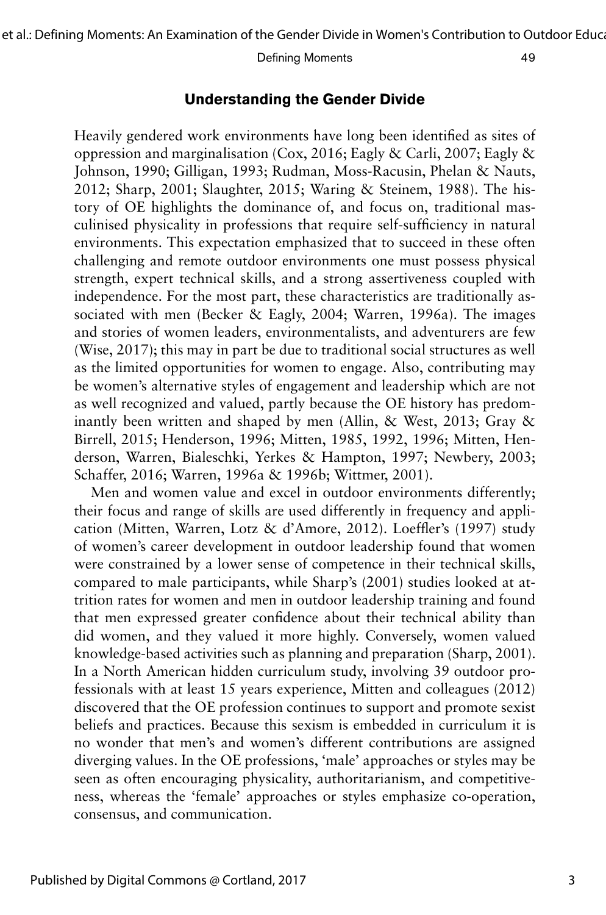## **Understanding the Gender Divide**

Heavily gendered work environments have long been identified as sites of oppression and marginalisation (Cox, 2016; Eagly & Carli, 2007; Eagly & Johnson, 1990; Gilligan, 1993; Rudman, Moss-Racusin, Phelan & Nauts, 2012; Sharp, 2001; Slaughter, 2015; Waring & Steinem, 1988). The history of OE highlights the dominance of, and focus on, traditional masculinised physicality in professions that require self-sufficiency in natural environments. This expectation emphasized that to succeed in these often challenging and remote outdoor environments one must possess physical strength, expert technical skills, and a strong assertiveness coupled with independence. For the most part, these characteristics are traditionally associated with men (Becker & Eagly, 2004; Warren, 1996a). The images and stories of women leaders, environmentalists, and adventurers are few (Wise, 2017); this may in part be due to traditional social structures as well as the limited opportunities for women to engage. Also, contributing may be women's alternative styles of engagement and leadership which are not as well recognized and valued, partly because the OE history has predominantly been written and shaped by men (Allin, & West, 2013; Gray & Birrell, 2015; Henderson, 1996; Mitten, 1985, 1992, 1996; Mitten, Henderson, Warren, Bialeschki, Yerkes & Hampton, 1997; Newbery, 2003; Schaffer, 2016; Warren, 1996a & 1996b; Wittmer, 2001).

Men and women value and excel in outdoor environments differently; their focus and range of skills are used differently in frequency and application (Mitten, Warren, Lotz & d'Amore, 2012). Loeffler's (1997) study of women's career development in outdoor leadership found that women were constrained by a lower sense of competence in their technical skills, compared to male participants, while Sharp's (2001) studies looked at attrition rates for women and men in outdoor leadership training and found that men expressed greater confidence about their technical ability than did women, and they valued it more highly. Conversely, women valued knowledge-based activities such as planning and preparation (Sharp, 2001). In a North American hidden curriculum study, involving 39 outdoor professionals with at least 15 years experience, Mitten and colleagues (2012) discovered that the OE profession continues to support and promote sexist beliefs and practices. Because this sexism is embedded in curriculum it is no wonder that men's and women's different contributions are assigned diverging values. In the OE professions, 'male' approaches or styles may be seen as often encouraging physicality, authoritarianism, and competitiveness, whereas the 'female' approaches or styles emphasize co-operation, consensus, and communication.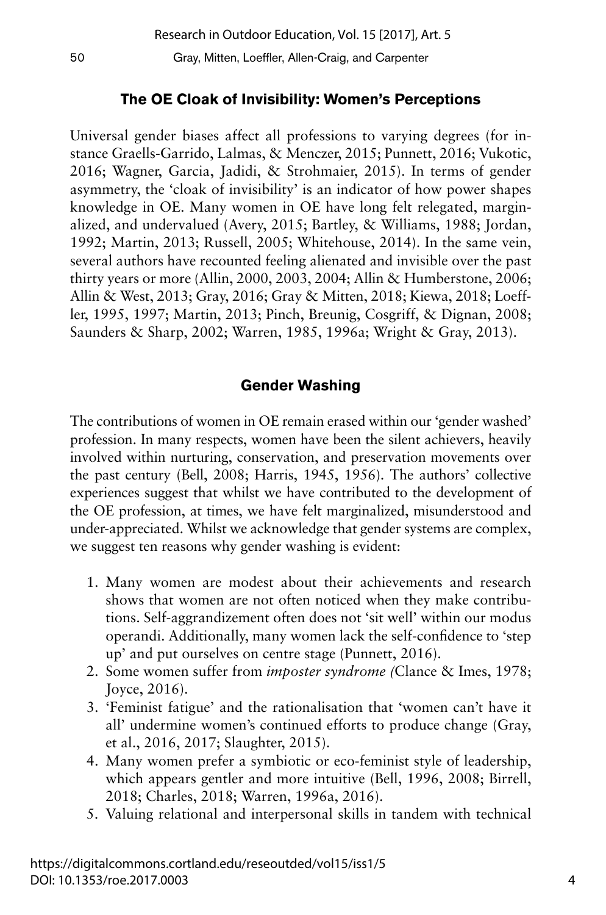50 Gray, Mitten, Loeffler, Allen-Craig, and Carpenter

## **The OE Cloak of Invisibility: Women's Perceptions**

Universal gender biases affect all professions to varying degrees (for instance Graells-Garrido, Lalmas, & Menczer, 2015; Punnett, 2016; Vukotic, 2016; Wagner, Garcia, Jadidi, & Strohmaier, 2015). In terms of gender asymmetry, the 'cloak of invisibility' is an indicator of how power shapes knowledge in OE. Many women in OE have long felt relegated, marginalized, and undervalued (Avery, 2015; Bartley, & Williams, 1988; Jordan, 1992; Martin, 2013; Russell, 2005; Whitehouse, 2014). In the same vein, several authors have recounted feeling alienated and invisible over the past thirty years or more (Allin, 2000, 2003, 2004; Allin & Humberstone, 2006; Allin & West, 2013; Gray, 2016; Gray & Mitten, 2018; Kiewa, 2018; Loeffler, 1995, 1997; Martin, 2013; Pinch, Breunig, Cosgriff, & Dignan, 2008; Saunders & Sharp, 2002; Warren, 1985, 1996a; Wright & Gray, 2013).

## **Gender Washing**

The contributions of women in OE remain erased within our 'gender washed' profession. In many respects, women have been the silent achievers, heavily involved within nurturing, conservation, and preservation movements over the past century (Bell, 2008; Harris, 1945, 1956). The authors' collective experiences suggest that whilst we have contributed to the development of the OE profession, at times, we have felt marginalized, misunderstood and under-appreciated. Whilst we acknowledge that gender systems are complex, we suggest ten reasons why gender washing is evident:

- 1. Many women are modest about their achievements and research shows that women are not often noticed when they make contributions. Self-aggrandizement often does not 'sit well' within our modus operandi. Additionally, many women lack the self-confidence to 'step up' and put ourselves on centre stage (Punnett, 2016).
- 2. Some women suffer from *imposter syndrome (*Clance & Imes, 1978; Joyce, 2016).
- 3. 'Feminist fatigue' and the rationalisation that 'women can't have it all' undermine women's continued efforts to produce change (Gray, et al., 2016, 2017; Slaughter, 2015).
- 4. Many women prefer a symbiotic or eco-feminist style of leadership, which appears gentler and more intuitive (Bell, 1996, 2008; Birrell, 2018; Charles, 2018; Warren, 1996a, 2016).
- 5. Valuing relational and interpersonal skills in tandem with technical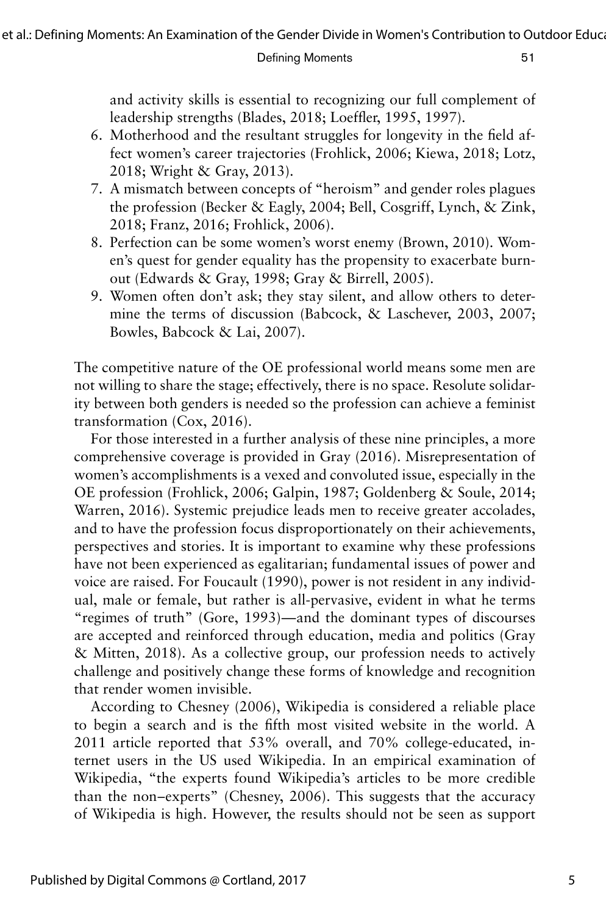and activity skills is essential to recognizing our full complement of leadership strengths (Blades, 2018; Loeffler, 1995, 1997).

- 6. Motherhood and the resultant struggles for longevity in the field affect women's career trajectories (Frohlick, 2006; Kiewa, 2018; Lotz, 2018; Wright & Gray, 2013).
- 7. A mismatch between concepts of "heroism" and gender roles plagues the profession (Becker & Eagly, 2004; Bell, Cosgriff, Lynch, & Zink, 2018; Franz, 2016; Frohlick, 2006).
- 8. Perfection can be some women's worst enemy (Brown, 2010). Women's quest for gender equality has the propensity to exacerbate burnout (Edwards & Gray, 1998; Gray & Birrell, 2005).
- 9. Women often don't ask; they stay silent, and allow others to determine the terms of discussion (Babcock, & Laschever, 2003, 2007; Bowles, Babcock & Lai, 2007).

The competitive nature of the OE professional world means some men are not willing to share the stage; effectively, there is no space. Resolute solidarity between both genders is needed so the profession can achieve a feminist transformation (Cox, 2016).

For those interested in a further analysis of these nine principles, a more comprehensive coverage is provided in Gray (2016). Misrepresentation of women's accomplishments is a vexed and convoluted issue, especially in the OE profession (Frohlick, 2006; Galpin, 1987; Goldenberg & Soule, 2014; Warren, 2016). Systemic prejudice leads men to receive greater accolades, and to have the profession focus disproportionately on their achievements, perspectives and stories. It is important to examine why these professions have not been experienced as egalitarian; fundamental issues of power and voice are raised. For Foucault (1990), power is not resident in any individual, male or female, but rather is all-pervasive, evident in what he terms "regimes of truth" (Gore, 1993)—and the dominant types of discourses are accepted and reinforced through education, media and politics (Gray & Mitten, 2018). As a collective group, our profession needs to actively challenge and positively change these forms of knowledge and recognition that render women invisible.

According to Chesney (2006), Wikipedia is considered a reliable place to begin a search and is the fifth most visited website in the world. A 2011 article reported that 53% overall, and 70% college-educated, internet users in the US used Wikipedia. In an empirical examination of Wikipedia, "the experts found Wikipedia's articles to be more credible than the non–experts" (Chesney, 2006). This suggests that the accuracy of Wikipedia is high. However, the results should not be seen as support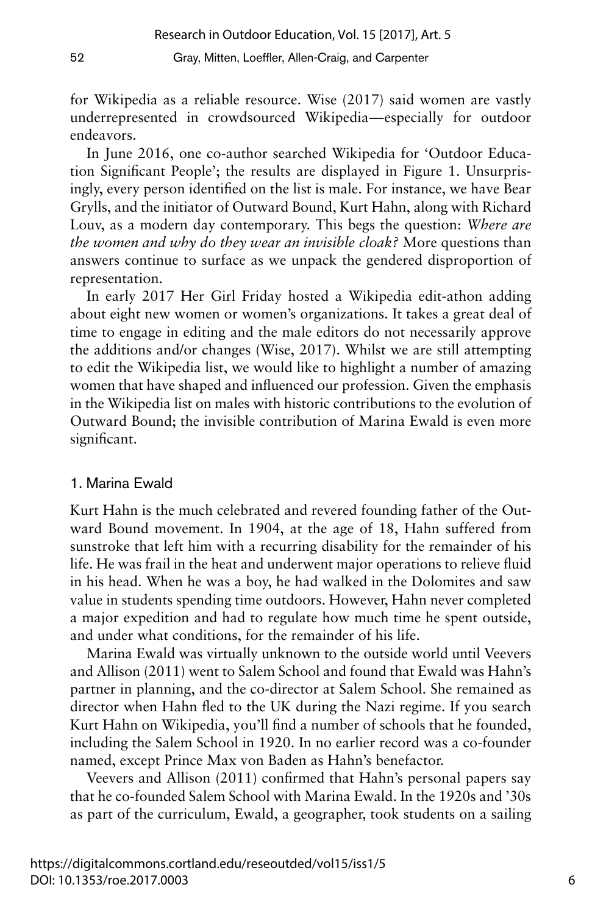for Wikipedia as a reliable resource. Wise (2017) said women are vastly underrepresented in crowdsourced Wikipedia—especially for outdoor endeavors.

In June 2016, one co-author searched Wikipedia for 'Outdoor Education Significant People'; the results are displayed in Figure 1. Unsurprisingly, every person identified on the list is male. For instance, we have Bear Grylls, and the initiator of Outward Bound, Kurt Hahn, along with Richard Louv, as a modern day contemporary. This begs the question: *Where are the women and why do they wear an invisible cloak?* More questions than answers continue to surface as we unpack the gendered disproportion of representation.

In early 2017 Her Girl Friday hosted a Wikipedia edit-athon adding about eight new women or women's organizations. It takes a great deal of time to engage in editing and the male editors do not necessarily approve the additions and/or changes (Wise, 2017). Whilst we are still attempting to edit the Wikipedia list, we would like to highlight a number of amazing women that have shaped and influenced our profession. Given the emphasis in the Wikipedia list on males with historic contributions to the evolution of Outward Bound; the invisible contribution of Marina Ewald is even more significant.

## 1. Marina Ewald

Kurt Hahn is the much celebrated and revered founding father of the Outward Bound movement. In 1904, at the age of 18, Hahn suffered from sunstroke that left him with a recurring disability for the remainder of his life. He was frail in the heat and underwent major operations to relieve fluid in his head. When he was a boy, he had walked in the Dolomites and saw value in students spending time outdoors. However, Hahn never completed a major expedition and had to regulate how much time he spent outside, and under what conditions, for the remainder of his life.

Marina Ewald was virtually unknown to the outside world until Veevers and Allison (2011) went to Salem School and found that Ewald was Hahn's partner in planning, and the co-director at Salem School. She remained as director when Hahn fled to the UK during the Nazi regime. If you search Kurt Hahn on Wikipedia, you'll find a number of schools that he founded, including the Salem School in 1920. In no earlier record was a co-founder named, except Prince Max von Baden as Hahn's benefactor.

Veevers and Allison (2011) confirmed that Hahn's personal papers say that he co-founded Salem School with Marina Ewald. In the 1920s and '30s as part of the curriculum, Ewald, a geographer, took students on a sailing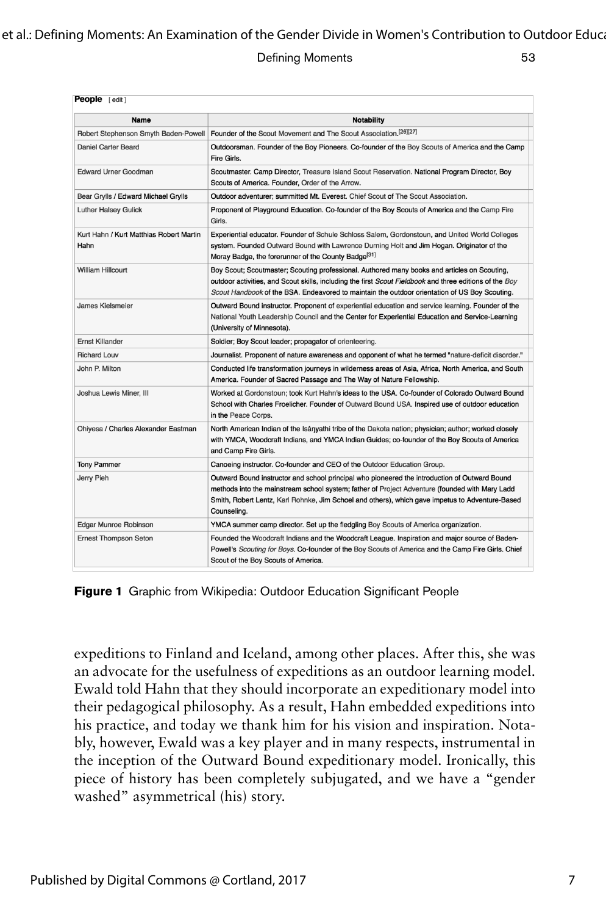## et al.: Defining Moments: An Examination of the Gender Divide in Women's Contribution to Outdoor Educ

Defining Moments 53

| Name                                            | <b>Notability</b>                                                                                                                                                                                                                                                                                                 |  |  |
|-------------------------------------------------|-------------------------------------------------------------------------------------------------------------------------------------------------------------------------------------------------------------------------------------------------------------------------------------------------------------------|--|--|
| Robert Stephenson Smyth Baden-Powell            | Founder of the Scout Movement and The Scout Association. <sup>[26][27]</sup>                                                                                                                                                                                                                                      |  |  |
| <b>Daniel Carter Beard</b>                      | Outdoorsman. Founder of the Boy Pioneers. Co-founder of the Boy Scouts of America and the Camp<br>Fire Girls.                                                                                                                                                                                                     |  |  |
| <b>Edward Urner Goodman</b>                     | Scoutmaster. Camp Director, Treasure Island Scout Reservation. National Program Director, Boy<br>Scouts of America. Founder, Order of the Arrow.                                                                                                                                                                  |  |  |
| Bear Grylls / Edward Michael Grylls             | Outdoor adventurer; summitted Mt. Everest. Chief Scout of The Scout Association.                                                                                                                                                                                                                                  |  |  |
| <b>Luther Halsey Gulick</b>                     | Proponent of Playground Education. Co-founder of the Boy Scouts of America and the Camp Fire<br>Girls.                                                                                                                                                                                                            |  |  |
| Kurt Hahn / Kurt Matthias Robert Martin<br>Hahn | Experiential educator. Founder of Schule Schloss Salem, Gordonstoun, and United World Colleges<br>system. Founded Outward Bound with Lawrence Durning Holt and Jim Hogan. Originator of the<br>Moray Badge, the forerunner of the County Badge <sup>[31]</sup>                                                    |  |  |
| <b>William Hillcourt</b>                        | Boy Scout; Scoutmaster; Scouting professional. Authored many books and articles on Scouting,<br>outdoor activities, and Scout skills, including the first Scout Fieldbook and three editions of the Boy<br>Scout Handbook of the BSA. Endeavored to maintain the outdoor orientation of US Boy Scouting.          |  |  |
| <b>James Kielsmeier</b>                         | Outward Bound instructor. Proponent of experiential education and service learning. Founder of the<br>National Youth Leadership Council and the Center for Experiential Education and Service-Learning<br>(University of Minnesota).                                                                              |  |  |
| <b>Ernst Killander</b>                          | Soldier; Boy Scout leader; propagator of orienteering.                                                                                                                                                                                                                                                            |  |  |
| <b>Richard Louv</b>                             | Journalist. Proponent of nature awareness and opponent of what he termed "nature-deficit disorder."                                                                                                                                                                                                               |  |  |
| John P. Milton                                  | Conducted life transformation journeys in wilderness areas of Asia, Africa, North America, and South<br>America. Founder of Sacred Passage and The Way of Nature Fellowship.                                                                                                                                      |  |  |
| Joshua Lewis Miner, III                         | Worked at Gordonstoun; took Kurt Hahn's ideas to the USA. Co-founder of Colorado Outward Bound<br>School with Charles Froelicher. Founder of Outward Bound USA. Inspired use of outdoor education<br>in the Peace Corps.                                                                                          |  |  |
| Ohiyesa / Charles Alexander Eastman             | North American Indian of the Isányathi tribe of the Dakota nation; physician; author; worked closely<br>with YMCA, Woodcraft Indians, and YMCA Indian Guides; co-founder of the Boy Scouts of America<br>and Camp Fire Girls.                                                                                     |  |  |
| <b>Tony Pammer</b>                              | Canoeing instructor. Co-founder and CEO of the Outdoor Education Group.                                                                                                                                                                                                                                           |  |  |
| Jerry Pieh                                      | Outward Bound instructor and school principal who pioneered the introduction of Outward Bound<br>methods into the mainstream school system; father of Project Adventure (founded with Mary Ladd<br>Smith, Robert Lentz, Karl Rohnke, Jim Schoel and others), which gave impetus to Adventure-Based<br>Counseling. |  |  |
| Edgar Munroe Robinson                           | YMCA summer camp director. Set up the fledgling Boy Scouts of America organization.                                                                                                                                                                                                                               |  |  |
| <b>Ernest Thompson Seton</b>                    | Founded the Woodcraft Indians and the Woodcraft League. Inspiration and major source of Baden-<br>Powell's Scouting for Boys. Co-founder of the Boy Scouts of America and the Camp Fire Girls. Chief<br>Scout of the Boy Scouts of America.                                                                       |  |  |

Figure 1: Graphic from Wikipedia: Outdoor Education Significant People

expeditions to Finland and Iceland, among other places. After this, she was an advocate for the usefulness of expeditions as an outdoor learning model. Ewald told Hahn that they should incorporate an expeditionary model into their pedagogical philosophy. As a result, Hahn embedded expeditions into his practice, and today we thank him for his vision and inspiration. Notably, however, Ewald was a key player and in many respects, instrumental in the inception of the Outward Bound expeditionary model. Ironically, this piece of history has been completely subjugated, and we have a "gender washed" asymmetrical (his) story.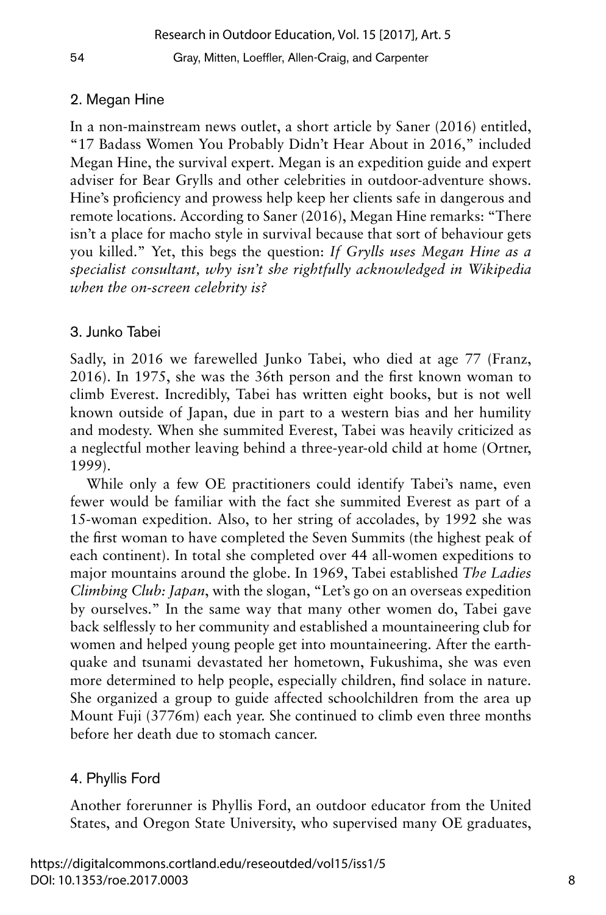## 2. Megan Hine

In a non-mainstream news outlet, a short article by Saner (2016) entitled, "17 Badass Women You Probably Didn't Hear About in 2016," included Megan Hine, the survival expert. Megan is an expedition guide and expert adviser for Bear Grylls and other celebrities in outdoor-adventure shows. Hine's proficiency and prowess help keep her clients safe in dangerous and remote locations. According to Saner (2016), Megan Hine remarks: "There isn't a place for macho style in survival because that sort of behaviour gets you killed." Yet, this begs the question: *If Grylls uses Megan Hine as a specialist consultant, why isn't she rightfully acknowledged in Wikipedia when the on-screen celebrity is?*

## 3. Junko Tabei

Sadly, in 2016 we farewelled Junko Tabei, who died at age 77 (Franz, 2016). In 1975, she was the 36th person and the first known woman to climb Everest. Incredibly, Tabei has written eight books, but is not well known outside of Japan, due in part to a western bias and her humility and modesty. When she summited Everest, Tabei was heavily criticized as a neglectful mother leaving behind a three-year-old child at home (Ortner, 1999).

While only a few OE practitioners could identify Tabei's name, even fewer would be familiar with the fact she summited Everest as part of a 15-woman expedition. Also, to her string of accolades, by 1992 she was the first woman to have completed the Seven Summits (the highest peak of each continent). In total she completed over 44 all-women expeditions to major mountains around the globe. In 1969, Tabei established *The Ladies Climbing Club: Japan*, with the slogan, "Let's go on an overseas expedition by ourselves." In the same way that many other women do, Tabei gave back selflessly to her community and established a mountaineering club for women and helped young people get into mountaineering. After the earthquake and tsunami devastated her hometown, Fukushima, she was even more determined to help people, especially children, find solace in nature. She organized a group to guide affected schoolchildren from the area up Mount Fuji (3776m) each year. She continued to climb even three months before her death due to stomach cancer.

## 4. Phyllis Ford

Another forerunner is Phyllis Ford, an outdoor educator from the United States, and Oregon State University, who supervised many OE graduates,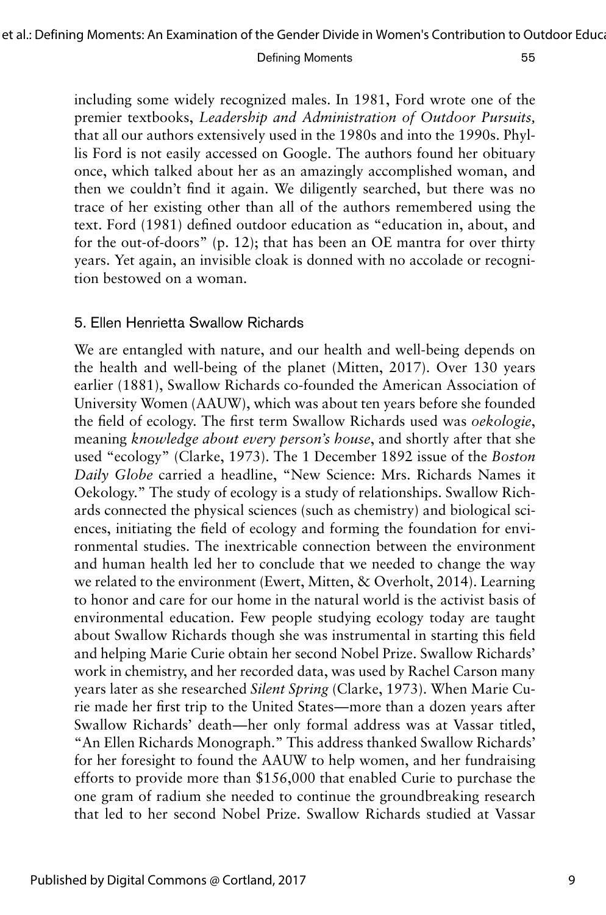including some widely recognized males. In 1981, Ford wrote one of the premier textbooks, *Leadership and Administration of Outdoor Pursuits,* that all our authors extensively used in the 1980s and into the 1990s. Phyllis Ford is not easily accessed on Google. The authors found her obituary once, which talked about her as an amazingly accomplished woman, and then we couldn't find it again. We diligently searched, but there was no trace of her existing other than all of the authors remembered using the text. Ford (1981) defined outdoor education as "education in, about, and for the out-of-doors" (p. 12); that has been an OE mantra for over thirty years. Yet again, an invisible cloak is donned with no accolade or recognition bestowed on a woman.

## 5. Ellen Henrietta Swallow Richards

We are entangled with nature, and our health and well-being depends on the health and well-being of the planet (Mitten, 2017). Over 130 years earlier (1881), Swallow Richards co-founded the American Association of University Women (AAUW), which was about ten years before she founded the field of ecology. The first term Swallow Richards used was *oekologie*, meaning *knowledge about every person's house*, and shortly after that she used "ecology" (Clarke, 1973). The 1 December 1892 issue of the *Boston Daily Globe* carried a headline, "New Science: Mrs. Richards Names it Oekology." The study of ecology is a study of relationships. Swallow Richards connected the physical sciences (such as chemistry) and biological sciences, initiating the field of ecology and forming the foundation for environmental studies. The inextricable connection between the environment and human health led her to conclude that we needed to change the way we related to the environment (Ewert, Mitten, & Overholt, 2014). Learning to honor and care for our home in the natural world is the activist basis of environmental education. Few people studying ecology today are taught about Swallow Richards though she was instrumental in starting this field and helping Marie Curie obtain her second Nobel Prize. Swallow Richards' work in chemistry, and her recorded data, was used by Rachel Carson many years later as she researched *Silent Spring* (Clarke, 1973). When Marie Curie made her first trip to the United States—more than a dozen years after Swallow Richards' death—her only formal address was at Vassar titled, "An Ellen Richards Monograph." This address thanked Swallow Richards' for her foresight to found the AAUW to help women, and her fundraising efforts to provide more than \$156,000 that enabled Curie to purchase the one gram of radium she needed to continue the groundbreaking research that led to her second Nobel Prize. Swallow Richards studied at Vassar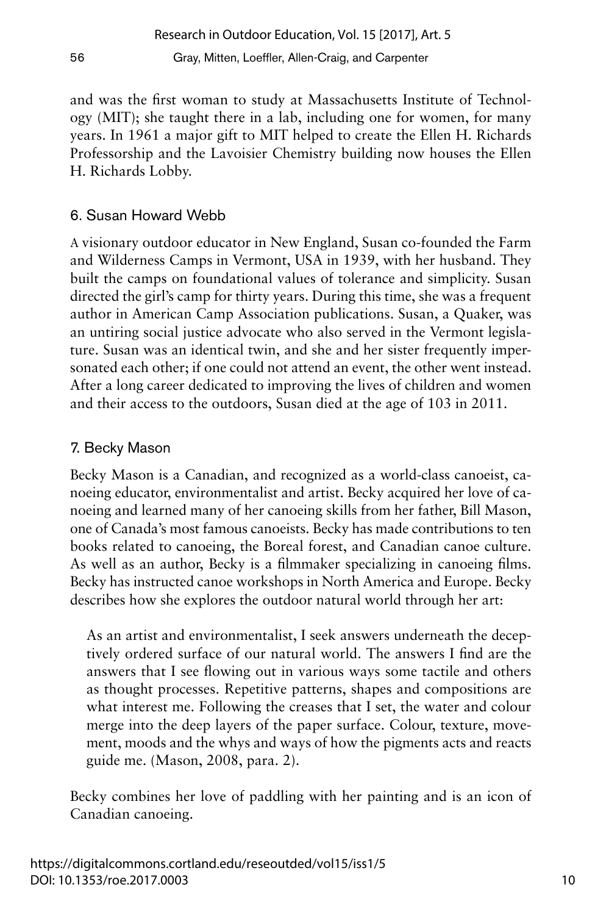and was the first woman to study at Massachusetts Institute of Technology (MIT); she taught there in a lab, including one for women, for many years. In 1961 a major gift to MIT helped to create the Ellen H. Richards Professorship and the Lavoisier Chemistry building now houses the Ellen H. Richards Lobby.

## 6. Susan Howard Webb

A visionary outdoor educator in New England, Susan co-founded the Farm and Wilderness Camps in Vermont, USA in 1939, with her husband. They built the camps on foundational values of tolerance and simplicity. Susan directed the girl's camp for thirty years. During this time, she was a frequent author in American Camp Association publications. Susan, a Quaker, was an untiring social justice advocate who also served in the Vermont legislature. Susan was an identical twin, and she and her sister frequently impersonated each other; if one could not attend an event, the other went instead. After a long career dedicated to improving the lives of children and women and their access to the outdoors, Susan died at the age of 103 in 2011.

## 7. Becky Mason

Becky Mason is a Canadian, and recognized as a world-class canoeist, canoeing educator, environmentalist and artist. Becky acquired her love of canoeing and learned many of her canoeing skills from her father, Bill Mason, one of Canada's most famous canoeists. Becky has made contributions to ten books related to canoeing, the Boreal forest, and Canadian canoe culture. As well as an author, Becky is a filmmaker specializing in canoeing films. Becky has instructed canoe workshops in North America and Europe. Becky describes how she explores the outdoor natural world through her art:

As an artist and environmentalist, I seek answers underneath the deceptively ordered surface of our natural world. The answers I find are the answers that I see flowing out in various ways some tactile and others as thought processes. Repetitive patterns, shapes and compositions are what interest me. Following the creases that I set, the water and colour merge into the deep layers of the paper surface. Colour, texture, movement, moods and the whys and ways of how the pigments acts and reacts guide me. (Mason, 2008, para. 2).

Becky combines her love of paddling with her painting and is an icon of Canadian canoeing.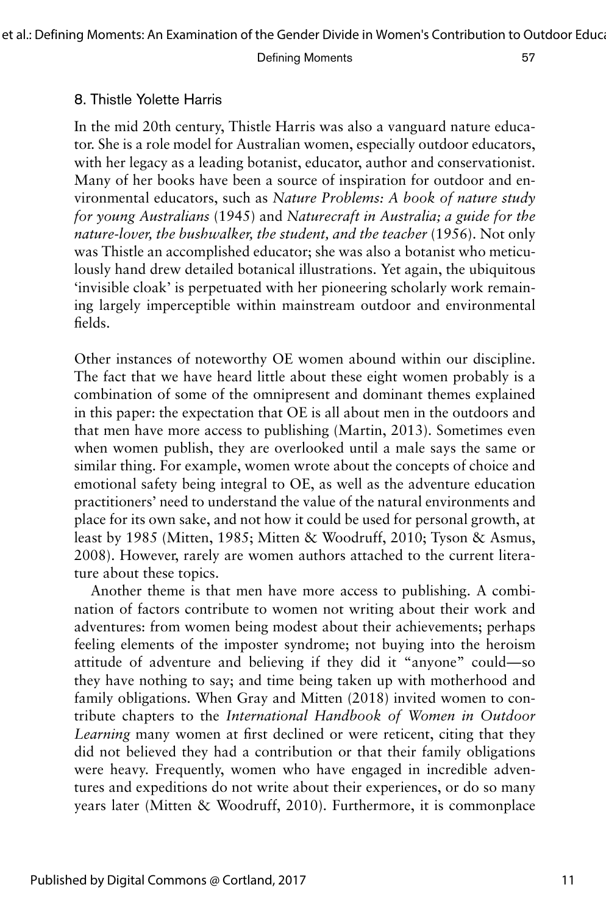#### 8. Thistle Yolette Harris

In the mid 20th century, Thistle Harris was also a vanguard nature educator. She is a role model for Australian women, especially outdoor educators, with her legacy as a leading botanist, educator, author and conservationist. Many of her books have been a source of inspiration for outdoor and environmental educators, such as *Nature Problems: A book of nature study for young Australians* (1945) and *Naturecraft in Australia; a guide for the nature-lover, the bushwalker, the student, and the teacher* (1956). Not only was Thistle an accomplished educator; she was also a botanist who meticulously hand drew detailed botanical illustrations. Yet again, the ubiquitous 'invisible cloak' is perpetuated with her pioneering scholarly work remaining largely imperceptible within mainstream outdoor and environmental fields.

Other instances of noteworthy OE women abound within our discipline. The fact that we have heard little about these eight women probably is a combination of some of the omnipresent and dominant themes explained in this paper: the expectation that OE is all about men in the outdoors and that men have more access to publishing (Martin, 2013). Sometimes even when women publish, they are overlooked until a male says the same or similar thing. For example, women wrote about the concepts of choice and emotional safety being integral to OE, as well as the adventure education practitioners' need to understand the value of the natural environments and place for its own sake, and not how it could be used for personal growth, at least by 1985 (Mitten, 1985; Mitten & Woodruff, 2010; Tyson & Asmus, 2008). However, rarely are women authors attached to the current literature about these topics.

Another theme is that men have more access to publishing. A combination of factors contribute to women not writing about their work and adventures: from women being modest about their achievements; perhaps feeling elements of the imposter syndrome; not buying into the heroism attitude of adventure and believing if they did it "anyone" could—so they have nothing to say; and time being taken up with motherhood and family obligations. When Gray and Mitten (2018) invited women to contribute chapters to the *International Handbook of Women in Outdoor Learning* many women at first declined or were reticent, citing that they did not believed they had a contribution or that their family obligations were heavy. Frequently, women who have engaged in incredible adventures and expeditions do not write about their experiences, or do so many years later (Mitten & Woodruff, 2010). Furthermore, it is commonplace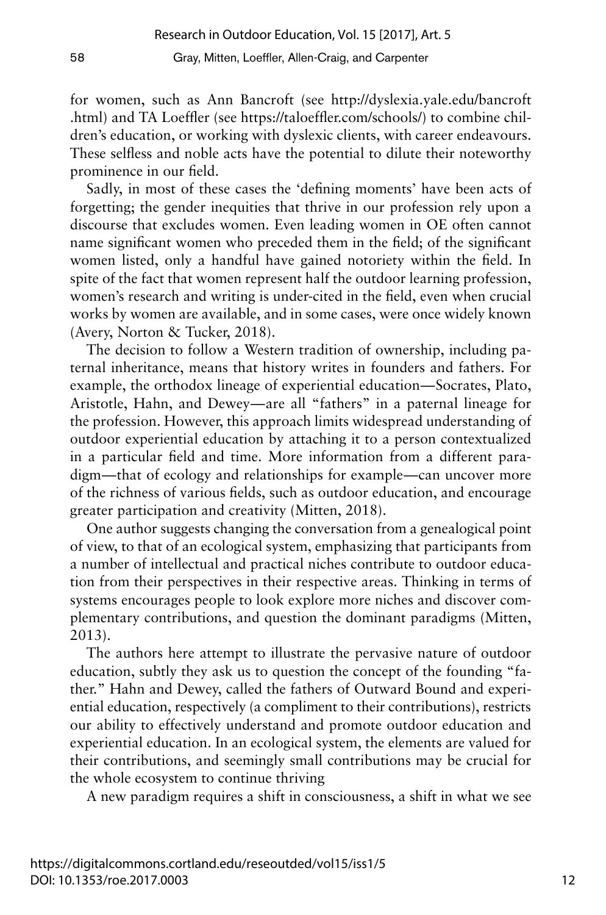for women, such as Ann Bancroft (see http://dyslexia.yale.edu/bancroft .html) and TA Loeffler (see https://taloeffler.com/schools/) to combine children's education, or working with dyslexic clients, with career endeavours. These selfless and noble acts have the potential to dilute their noteworthy prominence in our field.

Sadly, in most of these cases the 'defining moments' have been acts of forgetting; the gender inequities that thrive in our profession rely upon a discourse that excludes women. Even leading women in OE often cannot name significant women who preceded them in the field; of the significant women listed, only a handful have gained notoriety within the field. In spite of the fact that women represent half the outdoor learning profession, women's research and writing is under-cited in the field, even when crucial works by women are available, and in some cases, were once widely known (Avery, Norton & Tucker, 2018).

The decision to follow a Western tradition of ownership, including paternal inheritance, means that history writes in founders and fathers. For example, the orthodox lineage of experiential education—Socrates, Plato, Aristotle, Hahn, and Dewey—are all "fathers" in a paternal lineage for the profession. However, this approach limits widespread understanding of outdoor experiential education by attaching it to a person contextualized in a particular field and time. More information from a different paradigm—that of ecology and relationships for example—can uncover more of the richness of various fields, such as outdoor education, and encourage greater participation and creativity (Mitten, 2018).

One author suggests changing the conversation from a genealogical point of view, to that of an ecological system, emphasizing that participants from a number of intellectual and practical niches contribute to outdoor education from their perspectives in their respective areas. Thinking in terms of systems encourages people to look explore more niches and discover complementary contributions, and question the dominant paradigms (Mitten, 2013).

The authors here attempt to illustrate the pervasive nature of outdoor education, subtly they ask us to question the concept of the founding "father." Hahn and Dewey, called the fathers of Outward Bound and experiential education, respectively (a compliment to their contributions), restricts our ability to effectively understand and promote outdoor education and experiential education. In an ecological system, the elements are valued for their contributions, and seemingly small contributions may be crucial for the whole ecosystem to continue thriving

A new paradigm requires a shift in consciousness, a shift in what we see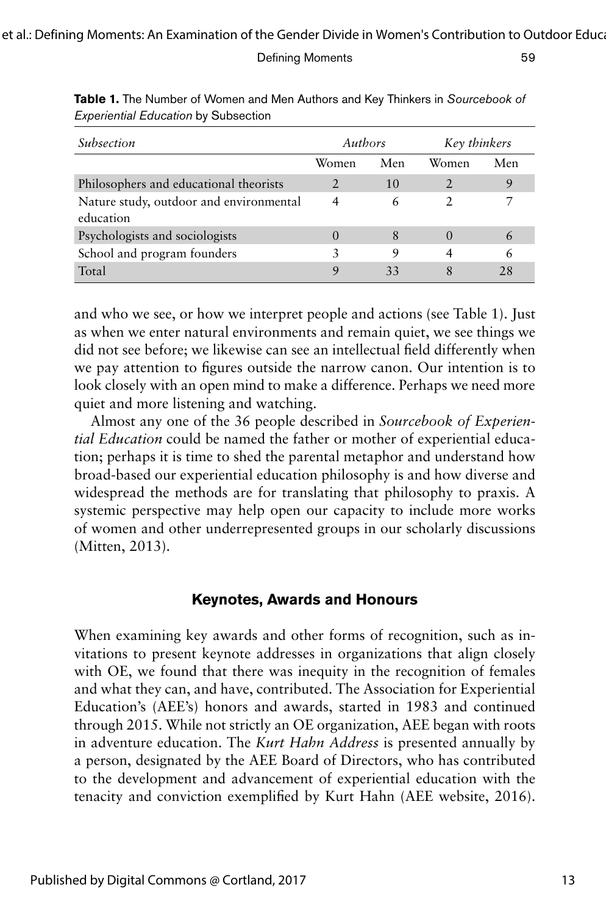| <i>Subsection</i>                                    | Authors |     | Key thinkers |     |
|------------------------------------------------------|---------|-----|--------------|-----|
|                                                      | Women   | Men | Women        | Men |
| Philosophers and educational theorists               |         | 10  |              |     |
| Nature study, outdoor and environmental<br>education | 4       | 6   |              |     |
| Psychologists and sociologists                       |         | 8   |              | 6   |
| School and program founders                          | 3       | 9   |              | 6   |
| Total                                                | Q       | 33  |              |     |

**Table 1.** The Number of Women and Men Authors and Key Thinkers in *Sourcebook of Experiential Education* by Subsection

and who we see, or how we interpret people and actions (see Table 1). Just as when we enter natural environments and remain quiet, we see things we did not see before; we likewise can see an intellectual field differently when we pay attention to figures outside the narrow canon. Our intention is to look closely with an open mind to make a difference. Perhaps we need more quiet and more listening and watching.

Almost any one of the 36 people described in *Sourcebook of Experiential Education* could be named the father or mother of experiential education; perhaps it is time to shed the parental metaphor and understand how broad-based our experiential education philosophy is and how diverse and widespread the methods are for translating that philosophy to praxis. A systemic perspective may help open our capacity to include more works of women and other underrepresented groups in our scholarly discussions (Mitten, 2013).

## **Keynotes, Awards and Honours**

When examining key awards and other forms of recognition, such as invitations to present keynote addresses in organizations that align closely with OE, we found that there was inequity in the recognition of females and what they can, and have, contributed. The Association for Experiential Education's (AEE's) honors and awards, started in 1983 and continued through 2015. While not strictly an OE organization, AEE began with roots in adventure education. The *Kurt Hahn Address* is presented annually by a person, designated by the AEE Board of Directors, who has contributed to the development and advancement of experiential education with the tenacity and conviction exemplified by Kurt Hahn (AEE website, 2016).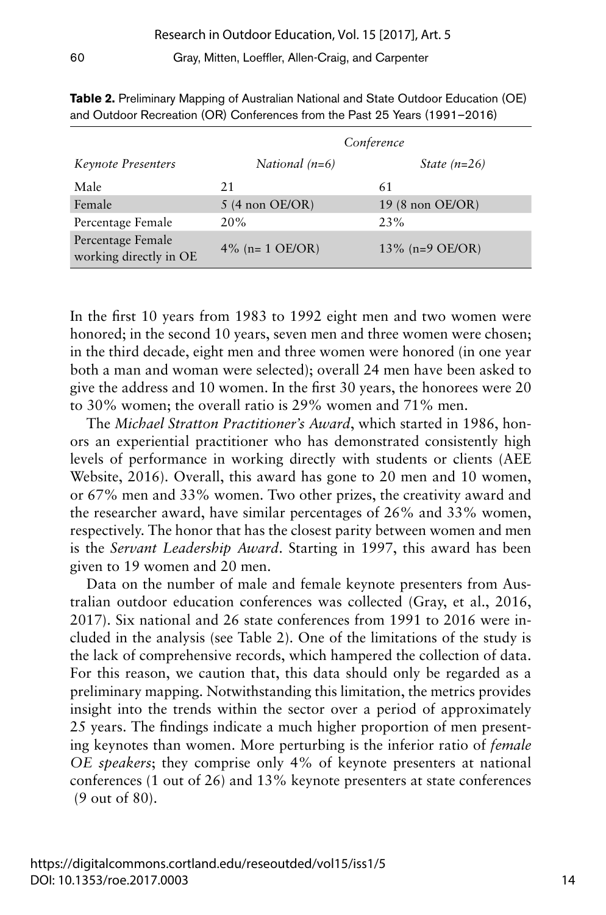#### 60 Gray, Mitten, Loeffler, Allen-Craig, and Carpenter

|                                             | Conference                |                     |  |
|---------------------------------------------|---------------------------|---------------------|--|
| <b>Keynote Presenters</b>                   | National $(n=6)$          | State $(n=26)$      |  |
| Male                                        | 21                        | 61                  |  |
| Female                                      | $5(4 \text{ non }$ OE/OR) | 19 (8 non $OE/OR$ ) |  |
| Percentage Female                           | 20%                       | $2.3\%$             |  |
| Percentage Female<br>working directly in OE | 4\% (n= 1 $OE/OR$ )       | 13\% (n=9 $OE/OR$ ) |  |

**Table 2.** Preliminary Mapping of Australian National and State Outdoor Education (OE) and Outdoor Recreation (OR) Conferences from the Past 25 Years (1991–2016)

In the first 10 years from 1983 to 1992 eight men and two women were honored; in the second 10 years, seven men and three women were chosen; in the third decade, eight men and three women were honored (in one year both a man and woman were selected); overall 24 men have been asked to give the address and 10 women. In the first 30 years, the honorees were 20 to 30% women; the overall ratio is 29% women and 71% men.

The *Michael Stratton Practitioner's Award*, which started in 1986, honors an experiential practitioner who has demonstrated consistently high levels of performance in working directly with students or clients (AEE Website, 2016). Overall, this award has gone to 20 men and 10 women, or 67% men and 33% women. Two other prizes, the creativity award and the researcher award, have similar percentages of 26% and 33% women, respectively. The honor that has the closest parity between women and men is the *Servant Leadership Award*. Starting in 1997, this award has been given to 19 women and 20 men.

Data on the number of male and female keynote presenters from Australian outdoor education conferences was collected (Gray, et al., 2016, 2017). Six national and 26 state conferences from 1991 to 2016 were included in the analysis (see Table 2). One of the limitations of the study is the lack of comprehensive records, which hampered the collection of data. For this reason, we caution that, this data should only be regarded as a preliminary mapping. Notwithstanding this limitation, the metrics provides insight into the trends within the sector over a period of approximately 25 years. The findings indicate a much higher proportion of men presenting keynotes than women. More perturbing is the inferior ratio of *female OE speakers*; they comprise only 4% of keynote presenters at national conferences (1 out of 26) and 13% keynote presenters at state conferences (9 out of 80).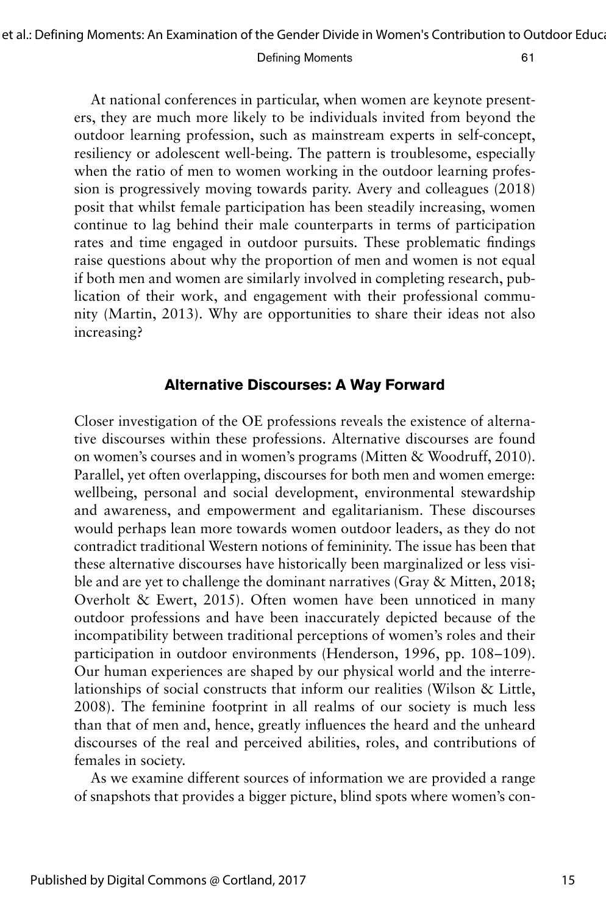At national conferences in particular, when women are keynote presenters, they are much more likely to be individuals invited from beyond the outdoor learning profession, such as mainstream experts in self-concept, resiliency or adolescent well-being. The pattern is troublesome, especially when the ratio of men to women working in the outdoor learning profession is progressively moving towards parity. Avery and colleagues (2018) posit that whilst female participation has been steadily increasing, women continue to lag behind their male counterparts in terms of participation rates and time engaged in outdoor pursuits. These problematic findings raise questions about why the proportion of men and women is not equal if both men and women are similarly involved in completing research, publication of their work, and engagement with their professional community (Martin, 2013). Why are opportunities to share their ideas not also increasing?

### **Alternative Discourses: A Way Forward**

Closer investigation of the OE professions reveals the existence of alternative discourses within these professions. Alternative discourses are found on women's courses and in women's programs (Mitten & Woodruff, 2010). Parallel, yet often overlapping, discourses for both men and women emerge: wellbeing, personal and social development, environmental stewardship and awareness, and empowerment and egalitarianism. These discourses would perhaps lean more towards women outdoor leaders, as they do not contradict traditional Western notions of femininity. The issue has been that these alternative discourses have historically been marginalized or less visible and are yet to challenge the dominant narratives (Gray & Mitten, 2018; Overholt & Ewert, 2015). Often women have been unnoticed in many outdoor professions and have been inaccurately depicted because of the incompatibility between traditional perceptions of women's roles and their participation in outdoor environments (Henderson, 1996, pp. 108-109). Our human experiences are shaped by our physical world and the interrelationships of social constructs that inform our realities (Wilson & Little, 2008). The feminine footprint in all realms of our society is much less than that of men and, hence, greatly influences the heard and the unheard discourses of the real and perceived abilities, roles, and contributions of females in society.

As we examine different sources of information we are provided a range of snapshots that provides a bigger picture, blind spots where women's con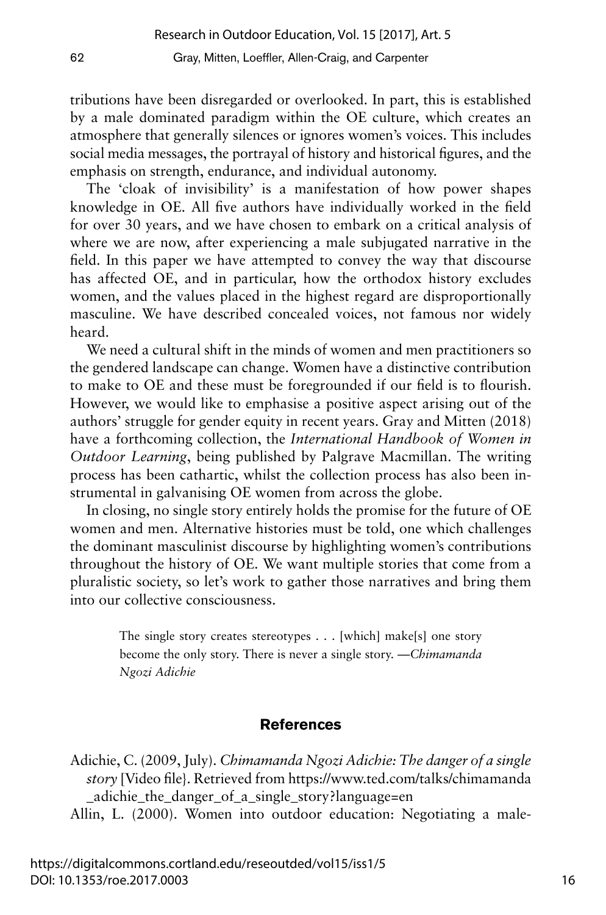tributions have been disregarded or overlooked. In part, this is established by a male dominated paradigm within the OE culture, which creates an atmosphere that generally silences or ignores women's voices. This includes social media messages, the portrayal of history and historical figures, and the emphasis on strength, endurance, and individual autonomy.

The 'cloak of invisibility' is a manifestation of how power shapes knowledge in OE. All five authors have individually worked in the field for over 30 years, and we have chosen to embark on a critical analysis of where we are now, after experiencing a male subjugated narrative in the field. In this paper we have attempted to convey the way that discourse has affected OE, and in particular, how the orthodox history excludes women, and the values placed in the highest regard are disproportionally masculine. We have described concealed voices, not famous nor widely heard.

We need a cultural shift in the minds of women and men practitioners so the gendered landscape can change. Women have a distinctive contribution to make to OE and these must be foregrounded if our field is to flourish. However, we would like to emphasise a positive aspect arising out of the authors' struggle for gender equity in recent years. Gray and Mitten (2018) have a forthcoming collection, the *International Handbook of Women in Outdoor Learning*, being published by Palgrave Macmillan. The writing process has been cathartic, whilst the collection process has also been instrumental in galvanising OE women from across the globe.

In closing, no single story entirely holds the promise for the future of OE women and men. Alternative histories must be told, one which challenges the dominant masculinist discourse by highlighting women's contributions throughout the history of OE. We want multiple stories that come from a pluralistic society, so let's work to gather those narratives and bring them into our collective consciousness.

> The single story creates stereotypes . . . [which] make[s] one story become the only story. There is never a single story. —*Chimamanda Ngozi Adichie*

#### **References**

Adichie, C. (2009, July). *Chimamanda Ngozi Adichie: The danger of a single story* [Video file}. Retrieved from https://www.ted.com/talks/chimamanda \_adichie\_the\_danger\_of\_a\_single\_story?language=en Allin, L. (2000). Women into outdoor education: Negotiating a male-

https://digitalcommons.cortland.edu/reseoutded/vol15/iss1/5 DOI: 10.1353/roe.2017.0003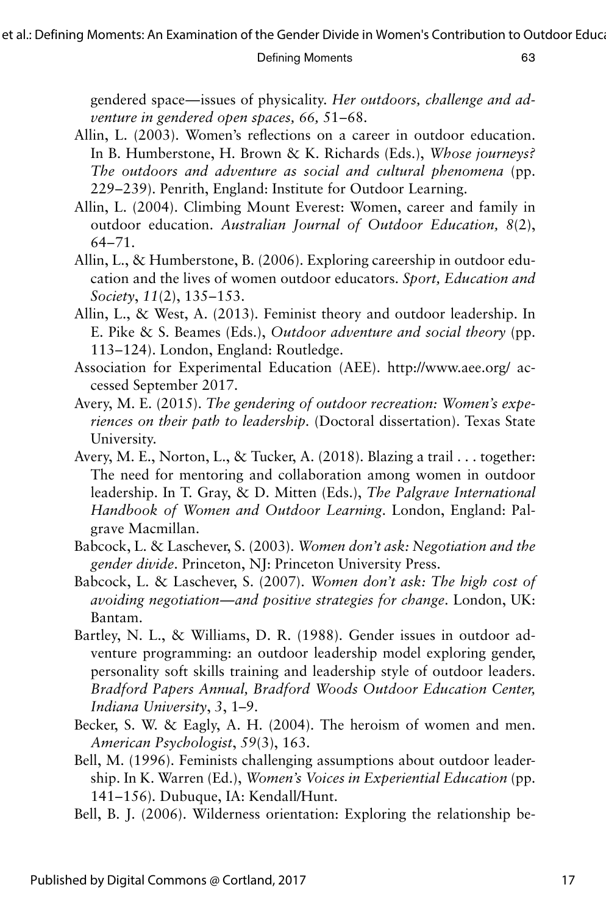gendered space—issues of physicality. *Her outdoors, challenge and adventure in gendered open spaces, 66,* 51–68.

- Allin, L. (2003). Women's reflections on a career in outdoor education. In B. Humberstone, H. Brown & K. Richards (Eds.), *Whose journeys? The outdoors and adventure as social and cultural phenomena* (pp. 229–239). Penrith, England: Institute for Outdoor Learning.
- Allin, L. (2004). Climbing Mount Everest: Women, career and family in outdoor education. *Australian Journal of Outdoor Education, 8*(2), 64–71.
- Allin, L., & Humberstone, B. (2006). Exploring careership in outdoor education and the lives of women outdoor educators. *Sport, Education and Society*, *11*(2), 135–153.
- Allin, L., & West, A. (2013). Feminist theory and outdoor leadership. In E. Pike & S. Beames (Eds.), *Outdoor adventure and social theory* (pp. 113–124). London, England: Routledge.
- Association for Experimental Education (AEE). http://www.aee.org/ accessed September 2017.
- Avery, M. E. (2015). *The gendering of outdoor recreation: Women's experiences on their path to leadership.* (Doctoral dissertation). Texas State University.
- Avery, M. E., Norton, L., & Tucker, A. (2018). Blazing a trail . . . together: The need for mentoring and collaboration among women in outdoor leadership. In T. Gray, & D. Mitten (Eds.), *The Palgrave International Handbook of Women and Outdoor Learning*. London, England: Palgrave Macmillan.
- Babcock, L. & Laschever, S. (2003). *Women don't ask: Negotiation and the gender divide*. Princeton, NJ: Princeton University Press.
- Babcock, L. & Laschever, S. (2007). *Women don't ask: The high cost of avoiding negotiation—and positive strategies for change*. London, UK: Bantam.
- Bartley, N. L., & Williams, D. R. (1988). Gender issues in outdoor adventure programming: an outdoor leadership model exploring gender, personality soft skills training and leadership style of outdoor leaders. *Bradford Papers Annual, Bradford Woods Outdoor Education Center, Indiana University*, *3*, 1–9.
- Becker, S. W. & Eagly, A. H. (2004). The heroism of women and men. *American Psychologist*, *59*(3), 163.
- Bell, M. (1996). Feminists challenging assumptions about outdoor leadership. In K. Warren (Ed.), *Women's Voices in Experiential Education* (pp. 141–156)*.* Dubuque, IA: Kendall/Hunt.
- Bell, B. J. (2006). Wilderness orientation: Exploring the relationship be-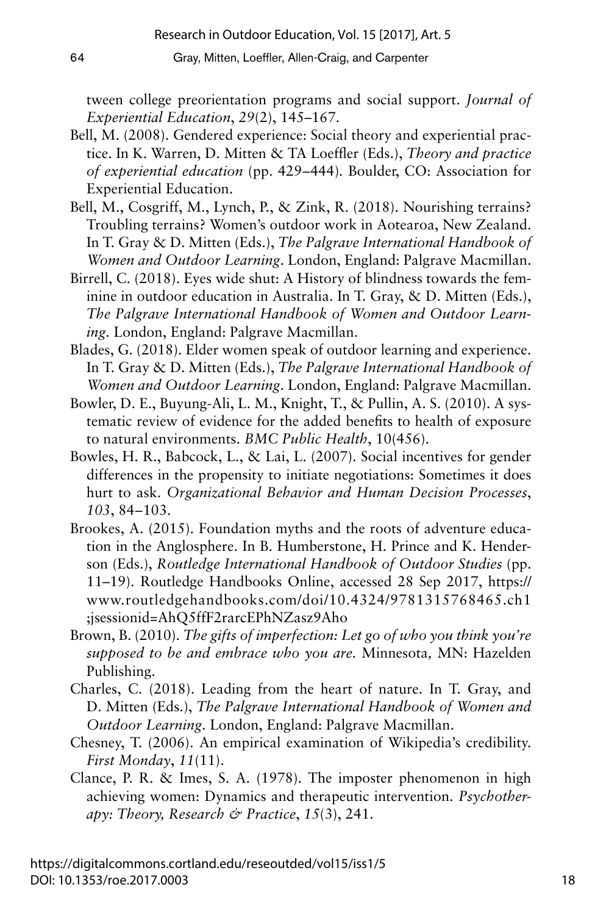tween college preorientation programs and social support. *Journal of Experiential Education*, *29*(2), 145–167.

- Bell, M. (2008). Gendered experience: Social theory and experiential practice. In K. Warren, D. Mitten & TA Loeffler (Eds.), *Theory and practice of experiential education* (pp. 429–444)*.* Boulder, CO: Association for Experiential Education.
- Bell, M., Cosgriff, M., Lynch, P., & Zink, R. (2018). Nourishing terrains? Troubling terrains? Women's outdoor work in Aotearoa, New Zealand. In T. Gray & D. Mitten (Eds.), *The Palgrave International Handbook of Women and Outdoor Learning*. London, England: Palgrave Macmillan.
- Birrell, C. (2018). Eyes wide shut: A History of blindness towards the feminine in outdoor education in Australia. In T. Gray, & D. Mitten (Eds.), *The Palgrave International Handbook of Women and Outdoor Learning*. London, England: Palgrave Macmillan.
- Blades, G. (2018). Elder women speak of outdoor learning and experience. In T. Gray & D. Mitten (Eds.), *The Palgrave International Handbook of Women and Outdoor Learning*. London, England: Palgrave Macmillan.
- Bowler, D. E., Buyung-Ali, L. M., Knight, T., & Pullin, A. S. (2010). A systematic review of evidence for the added benefits to health of exposure to natural environments. *BMC Public Health*, 10(456).
- Bowles, H. R., Babcock, L., & Lai, L. (2007). Social incentives for gender differences in the propensity to initiate negotiations: Sometimes it does hurt to ask. *Organizational Behavior and Human Decision Processes*, *103*, 84–103.
- Brookes, A. (2015). Foundation myths and the roots of adventure education in the Anglosphere. In B. Humberstone, H. Prince and K. Henderson (Eds.), *Routledge International Handbook of Outdoor Studies* (pp. 11–19). Routledge Handbooks Online, accessed 28 Sep 2017, https:// www.routledgehandbooks.com/doi/10.4324/9781315768465.ch1 ;jsessionid=AhQ5ffF2rarcEPhNZasz9Aho
- Brown, B. (2010). *The gifts of imperfection: Let go of who you think you're supposed to be and embrace who you are.* Minnesota*,* MN: Hazelden Publishing.
- Charles, C. (2018). Leading from the heart of nature. In T. Gray, and D. Mitten (Eds.), *The Palgrave International Handbook of Women and Outdoor Learning*. London, England: Palgrave Macmillan.
- Chesney, T. (2006). An empirical examination of Wikipedia's credibility. *First Monday*, *11*(11).
- Clance, P. R. & Imes, S. A. (1978). The imposter phenomenon in high achieving women: Dynamics and therapeutic intervention. *Psychotherapy: Theory, Research & Practice*, *15*(3), 241.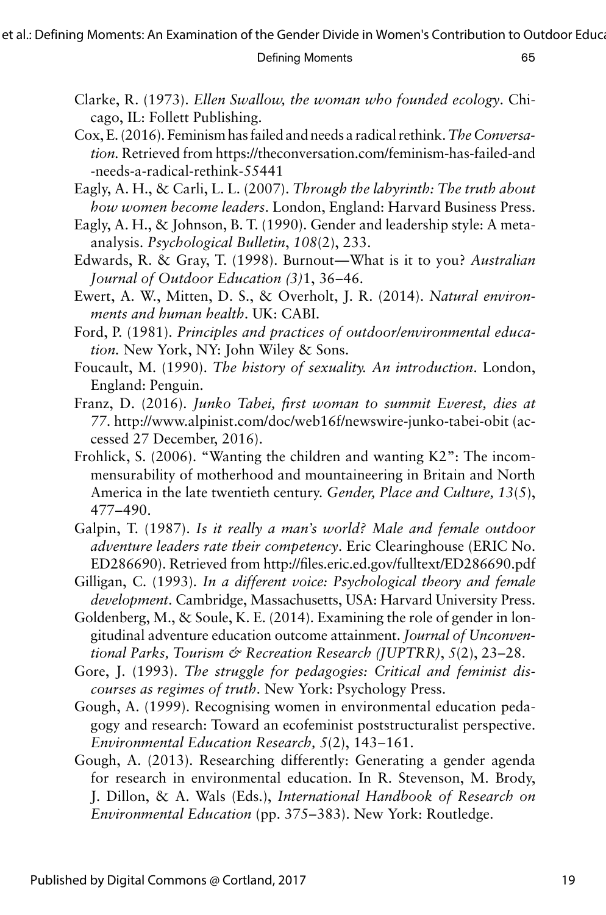- Clarke, R. (1973). *Ellen Swallow, the woman who founded ecology*. Chicago, IL: Follett Publishing.
- Cox, E. (2016). Feminism has failed and needs a radical rethink. *The Conversation.* Retrieved from https://theconversation.com/feminism-has-failed-and -needs-a-radical-rethink-55441
- Eagly, A. H., & Carli, L. L. (2007). *Through the labyrinth: The truth about how women become leaders*. London, England: Harvard Business Press.
- Eagly, A. H., & Johnson, B. T. (1990). Gender and leadership style: A metaanalysis. *Psychological Bulletin*, *108*(2), 233.
- Edwards, R. & Gray, T. (1998). Burnout—What is it to you? *Australian Journal of Outdoor Education (3)*1, 36–46.
- Ewert, A. W., Mitten, D. S., & Overholt, J. R. (2014). *Natural environments and human health*. UK: CABI.
- Ford, P. (1981). *Principles and practices of outdoor/environmental education.* New York, NY: John Wiley & Sons.
- Foucault, M. (1990). *The history of sexuality. An introduction*. London, England: Penguin.
- Franz, D. (2016). *Junko Tabei, first woman to summit Everest, dies at 77*. http://www.alpinist.com/doc/web16f/newswire-junko-tabei-obit (accessed 27 December, 2016).
- Frohlick, S. (2006). "Wanting the children and wanting K2": The incommensurability of motherhood and mountaineering in Britain and North America in the late twentieth century. *Gender, Place and Culture, 13*(5), 477–490.
- Galpin, T. (1987). *Is it really a man's world? Male and female outdoor adventure leaders rate their competency*. Eric Clearinghouse (ERIC No. ED286690). Retrieved from http://files.eric.ed.gov/fulltext/ED286690.pdf
- Gilligan, C. (1993). *In a different voice: Psychological theory and female development*. Cambridge, Massachusetts, USA: Harvard University Press.
- Goldenberg, M., & Soule, K. E. (2014). Examining the role of gender in longitudinal adventure education outcome attainment. *Journal of Unconventional Parks, Tourism & Recreation Research (JUPTRR)*, *5*(2), 23–28.
- Gore, J. (1993). *The struggle for pedagogies: Critical and feminist discourses as regimes of truth*. New York: Psychology Press.
- Gough, A. (1999). Recognising women in environmental education pedagogy and research: Toward an ecofeminist poststructuralist perspective. *Environmental Education Research, 5*(2), 143– 161.
- Gough, A. (2013). Researching differently: Generating a gender agenda for research in environmental education. In R. Stevenson, M. Brody, J. Dillon, & A. Wals (Eds.), *International Handbook of Research on Environmental Education* (pp. 375–383). New York: Routledge.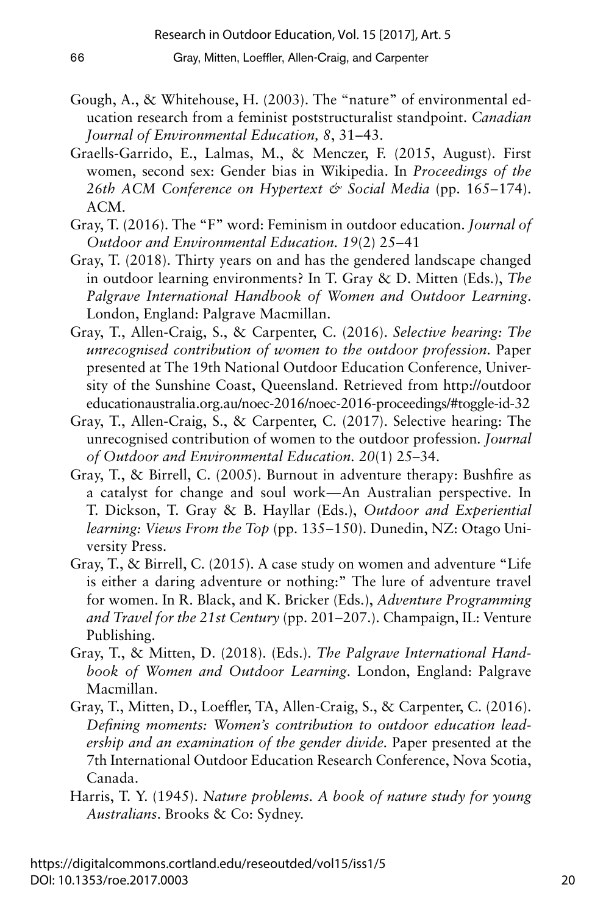- Gough, A., & Whitehouse, H. (2003). The "nature" of environmental education research from a feminist poststructuralist standpoint. *Canadian Journal of Environmental Education, 8, 31–43.*
- Graells-Garrido, E., Lalmas, M., & Menczer, F. (2015, August). First women, second sex: Gender bias in Wikipedia. In *Proceedings of the 26th ACM Conference on Hypertext & Social Media* (pp. 165–174). ACM.
- Gray, T. (2016). The "F" word: Feminism in outdoor education. *Journal of Outdoor and Environmental Education.* 19(2) 25–41
- Gray, T. (2018). Thirty years on and has the gendered landscape changed in outdoor learning environments? In T. Gray & D. Mitten (Eds.), *The Palgrave International Handbook of Women and Outdoor Learning*. London, England: Palgrave Macmillan.
- Gray, T., Allen-Craig, S., & Carpenter, C. (2016). *Selective hearing: The unrecognised contribution of women to the outdoor profession.* Paper presented at The 19th National Outdoor Education Conference*,* University of the Sunshine Coast, Queensland. Retrieved from http://outdoor educationaustralia.org.au/noec-2016/noec-2016-proceedings/#toggle-id-32
- Gray, T., Allen-Craig, S., & Carpenter, C. (2017). Selective hearing: The unrecognised contribution of women to the outdoor profession*. Journal of Outdoor and Environmental Education. 20*(1) 25–34.
- Gray, T., & Birrell, C. (2005). Burnout in adventure therapy: Bushfire as a catalyst for change and soul work—An Australian perspective. In T. Dickson, T. Gray & B. Hayllar (Eds.), *Outdoor and Experiential learning: Views From the Top* (pp. 135–150). Dunedin, NZ: Otago University Press.
- Gray, T., & Birrell, C. (2015). A case study on women and adventure "Life is either a daring adventure or nothing:" The lure of adventure travel for women. In R. Black, and K. Bricker (Eds.), *Adventure Programming and Travel for the 21st Century* (pp. 201–207.). Champaign, IL: Venture Publishing.
- Gray, T., & Mitten, D. (2018). (Eds.). *The Palgrave International Handbook of Women and Outdoor Learning*. London, England: Palgrave Macmillan.
- Gray, T., Mitten, D., Loeffler, TA, Allen-Craig, S., & Carpenter, C. (2016). *Defining moments: Women's contribution to outdoor education leadership and an examination of the gender divide.* Paper presented at the 7th International Outdoor Education Research Conference, Nova Scotia, Canada.
- Harris, T. Y. (1945). *Nature problems. A book of nature study for young Australians*. Brooks & Co: Sydney.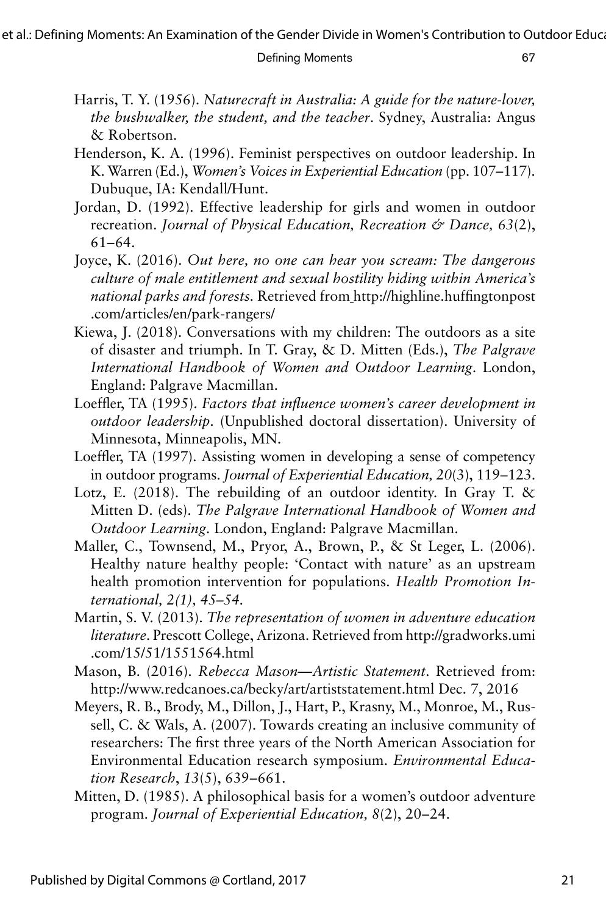et al.: Defining Moments: An Examination of the Gender Divide in Women's Contribution to Outdoor Educ

Defining Moments 67

- Harris, T. Y. (1956). *Naturecraft in Australia: A guide for the nature-lover, the bushwalker, the student, and the teacher*. Sydney, Australia: Angus & Robertson.
- Henderson, K. A. (1996). Feminist perspectives on outdoor leadership. In K. Warren (Ed.), *Women's Voices in Experiential Education* (pp. 107–117). Dubuque, IA: Kendall/Hunt.
- Jordan, D. (1992). Effective leadership for girls and women in outdoor recreation. *Journal of Physical Education, Recreation & Dance, 63*(2), 61–64.
- Joyce, K. (2016). *Out here, no one can hear you scream: The dangerous culture of male entitlement and sexual hostility hiding within America's national parks and forests.* Retrieved from http://highline.huffingtonpost .com/articles/en/park-rangers/
- Kiewa, J. (2018). Conversations with my children: The outdoors as a site of disaster and triumph. In T. Gray, & D. Mitten (Eds.), *The Palgrave International Handbook of Women and Outdoor Learning*. London, England: Palgrave Macmillan.
- Loeffler, TA (1995). *Factors that influence women's career development in outdoor leadership.* (Unpublished doctoral dissertation). University of Minnesota, Minneapolis, MN.
- Loeffler, TA (1997). Assisting women in developing a sense of competency in outdoor programs. *Journal of Experiential Education, 20*(3), 119–123.
- Lotz, E.  $(2018)$ . The rebuilding of an outdoor identity. In Gray T. & Mitten D. (eds). *The Palgrave International Handbook of Women and Outdoor Learning*. London, England: Palgrave Macmillan.
- Maller, C., Townsend, M., Pryor, A., Brown, P., & St Leger, L. (2006). Healthy nature healthy people: 'Contact with nature' as an upstream health promotion intervention for populations. *Health Promotion International, 2(1), 45–54.*
- Martin, S. V. (2013). *The representation of women in adventure education literature*. Prescott College, Arizona. Retrieved from http://gradworks.umi .com/15/51/1551564.html
- Mason, B. (2016). *Rebecca Mason—Artistic Statement*. Retrieved from: http://www.redcanoes.ca/becky/art/artiststatement.html Dec. 7, 2016
- Meyers, R. B., Brody, M., Dillon, J., Hart, P., Krasny, M., Monroe, M., Russell, C. & Wals, A. (2007). Towards creating an inclusive community of researchers: The first three years of the North American Association for Environmental Education research symposium. *Environmental Education Research*, 13(5), 639–661.
- Mitten, D. (1985). A philosophical basis for a women's outdoor adventure program. *Journal of Experiential Education, 8*(2), 20–24.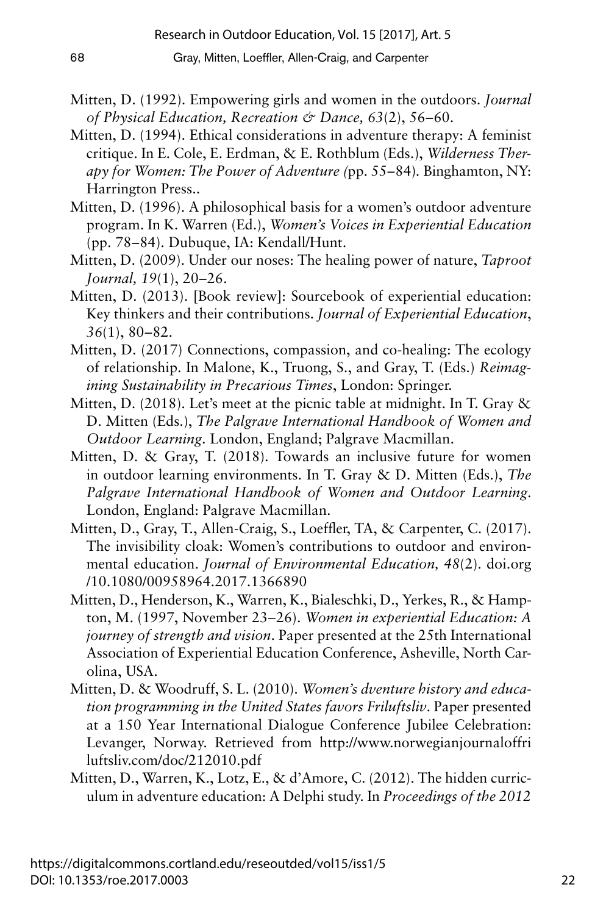- Mitten, D. (1992). Empowering girls and women in the outdoors. *Journal of Physical Education, Recreation & Dance, 63*(2), 56–60.
- Mitten, D. (1994). Ethical considerations in adventure therapy: A feminist critique. In E. Cole, E. Erdman, & E. Rothblum (Eds.), *Wilderness Therapy for Women: The Power of Adventure (*pp. 55– 84)*.* Binghamton, NY: Harrington Press..
- Mitten, D. (1996). A philosophical basis for a women's outdoor adventure program. In K. Warren (Ed.), *Women's Voices in Experiential Education*  (pp. 78–84). Dubuque, IA: Kendall/Hunt.
- Mitten, D. (2009). Under our noses: The healing power of nature, *Taproot Journal,* 19(1), 20–26.
- Mitten, D. (2013). [Book review]: Sourcebook of experiential education: Key thinkers and their contributions. *Journal of Experiential Education*, 36(1), 80–82.
- Mitten, D. (2017) Connections, compassion, and co-healing: The ecology of relationship. In Malone, K., Truong, S., and Gray, T. (Eds.) *Reimagining Sustainability in Precarious Times*, London: Springer.
- Mitten, D. (2018). Let's meet at the picnic table at midnight. In T. Gray & D. Mitten (Eds.), *The Palgrave International Handbook of Women and Outdoor Learning*. London, England; Palgrave Macmillan.
- Mitten, D. & Gray, T. (2018). Towards an inclusive future for women in outdoor learning environments. In T. Gray & D. Mitten (Eds.), *The Palgrave International Handbook of Women and Outdoor Learning*. London, England: Palgrave Macmillan.
- Mitten, D., Gray, T., Allen-Craig, S., Loeffler, TA, & Carpenter, C. (2017). The invisibility cloak: Women's contributions to outdoor and environmental education. *Journal of Environmental Education, 48*(2). doi.org /10.1080/00958964.2017.1366890
- Mitten, D., Henderson, K., Warren, K., Bialeschki, D., Yerkes, R., & Hampton, M. (1997, November 23–26). *Women in experiential Education: A journey of strength and vision*. Paper presented at the 25th International Association of Experiential Education Conference, Asheville, North Carolina, USA.
- Mitten, D. & Woodruff, S. L. (2010). *Women's dventure history and education programming in the United States favors Friluftsliv*. Paper presented at a 150 Year International Dialogue Conference Jubilee Celebration: Levanger, Norway. Retrieved from http://www.norwegianjournaloffri luftsliv.com/doc/212010.pdf
- Mitten, D., Warren, K., Lotz, E., & d'Amore, C. (2012). The hidden curriculum in adventure education: A Delphi study. In *Proceedings of the 2012*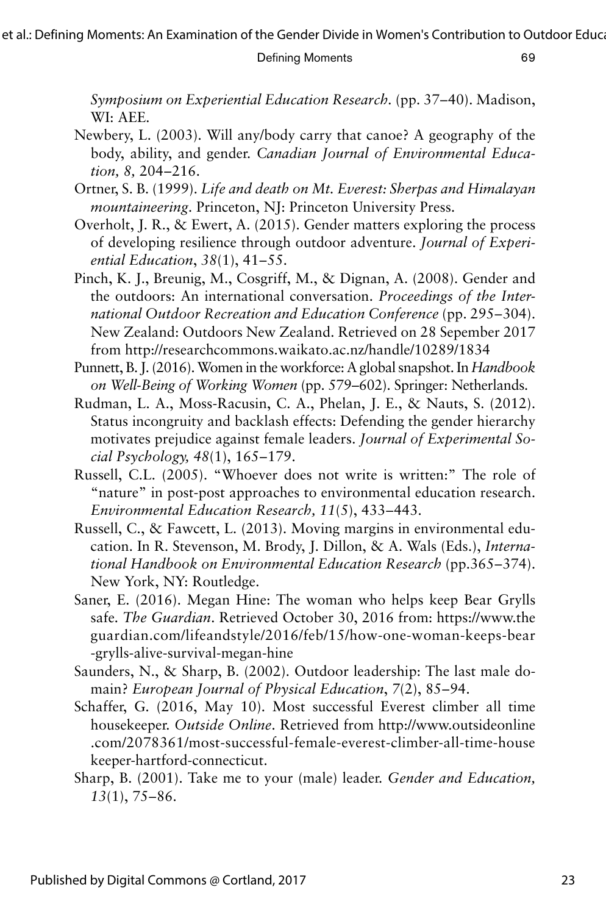*Symposium on Experiential Education Research.* (pp. 37–40). Madison, WI: AEE.

- Newbery, L. (2003). Will any/body carry that canoe? A geography of the body, ability, and gender. *Canadian Journal of Environmental Education, 8, 204-216.*
- Ortner, S. B. (1999). *Life and death on Mt. Everest: Sherpas and Himalayan mountaineering*. Princeton, NJ: Princeton University Press.
- Overholt, J. R., & Ewert, A. (2015). Gender matters exploring the process of developing resilience through outdoor adventure. *Journal of Experiential Education, 38(1), 41–55.*
- Pinch, K. J., Breunig, M., Cosgriff, M., & Dignan, A. (2008). Gender and the outdoors: An international conversation. *Proceedings of the International Outdoor Recreation and Education Conference* (pp. 295–304). New Zealand: Outdoors New Zealand. Retrieved on 28 Sepember 2017 from http://researchcommons.waikato.ac.nz/handle/10289/1834
- Punnett, B. J. (2016). Women in the workforce: A global snapshot. In *Handbook on Well-Being of Working Women* (pp. 579–602). Springer: Netherlands.
- Rudman, L. A., Moss-Racusin, C. A., Phelan, J. E., & Nauts, S. (2012). Status incongruity and backlash effects: Defending the gender hierarchy motivates prejudice against female leaders. *Journal of Experimental Social Psychology, 48*(1), 165–179.
- Russell, C.L. (2005). "Whoever does not write is written:" The role of "nature" in post-post approaches to environmental education research. *Environmental Education Research, 11(5), 433-443.*
- Russell, C., & Fawcett, L. (2013). Moving margins in environmental education. In R. Stevenson, M. Brody, J. Dillon, & A. Wals (Eds.), *International Handbook on Environmental Education Research* (pp.365–374). New York, NY: Routledge.
- Saner, E. (2016). Megan Hine: The woman who helps keep Bear Grylls safe*. The Guardian*. Retrieved October 30, 2016 from: https://www.the guardian.com/lifeandstyle/2016/feb/15/how-one-woman-keeps-bear -grylls-alive-survival-megan-hine
- Saunders, N., & Sharp, B. (2002). Outdoor leadership: The last male domain? *European Journal of Physical Education*, *7*(2), 85–94.
- Schaffer, G. (2016, May 10). Most successful Everest climber all time housekeeper. *Outside Online*. Retrieved from http://www.outsideonline .com/2078361/most-successful-female-everest-climber-all-time-house keeper-hartford-connecticut.
- Sharp, B. (2001). Take me to your (male) leader. *Gender and Education, 13*(1), 75–86.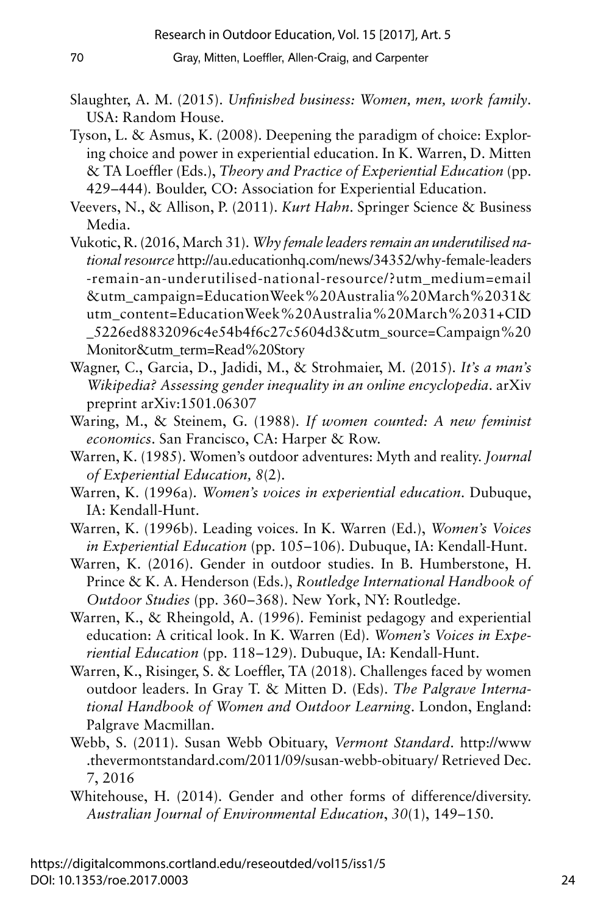- Slaughter, A. M. (2015). *Unfinished business: Women, men, work family*. USA: Random House.
- Tyson, L. & Asmus, K. (2008). Deepening the paradigm of choice: Exploring choice and power in experiential education. In K. Warren, D. Mitten & TA Loeffler (Eds.), *Theory and Practice of Experiential Education* (pp. 429–444)*.* Boulder, CO: Association for Experiential Education.
- Veevers, N., & Allison, P. (2011). *Kurt Hahn*. Springer Science & Business Media.
- Vukotic, R. (2016, March 31). *Why female leaders remain an underutilised national resource* http://au.educationhq.com/news/34352/why-female-leaders -remain-an-underutilised-national-resource/?utm\_medium=email &utm\_campaign=EducationWeek%20Australia%20March%2031& utm\_content=EducationWeek%20Australia%20March%2031+CID \_5226ed8832096c4e54b4f6c27c5604d3&utm\_source=Campaign%20 Monitor&utm\_term=Read%20Story
- Wagner, C., Garcia, D., Jadidi, M., & Strohmaier, M. (2015). *It's a man's Wikipedia? Assessing gender inequality in an online encyclopedia*. arXiv preprint arXiv:1501.06307
- Waring, M., & Steinem, G. (1988). *If women counted: A new feminist economics*. San Francisco, CA: Harper & Row.
- Warren, K. (1985). Women's outdoor adventures: Myth and reality. *Journal of Experiential Education, 8*(2).
- Warren, K. (1996a). *Women's voices in experiential education*. Dubuque, IA: Kendall-Hunt.
- Warren, K. (1996b). Leading voices. In K. Warren (Ed.), *Women's Voices in Experiential Education* (pp. 105–106). Dubuque, IA: Kendall-Hunt.
- Warren, K. (2016). Gender in outdoor studies. In B. Humberstone, H. Prince & K. A. Henderson (Eds.), *Routledge International Handbook of Outdoor Studies* (pp. 360–368). New York, NY: Routledge.
- Warren, K., & Rheingold, A. (1996). Feminist pedagogy and experiential education: A critical look. In K. Warren (Ed). *Women's Voices in Experiential Education* (pp. 118–129). Dubuque, IA: Kendall-Hunt.
- Warren, K., Risinger, S. & Loeffler, TA (2018). Challenges faced by women outdoor leaders. In Gray T. & Mitten D. (Eds). *The Palgrave International Handbook of Women and Outdoor Learning*. London, England: Palgrave Macmillan.
- Webb, S. (2011). Susan Webb Obituary, *Vermont Standard*. http://www .thevermontstandard.com/2011/09/susan-webb-obituary/ Retrieved Dec. 7, 2016
- Whitehouse, H. (2014). Gender and other forms of difference/diversity. *Australian Journal of Environmental Education*, *30*(1), 149– 150.